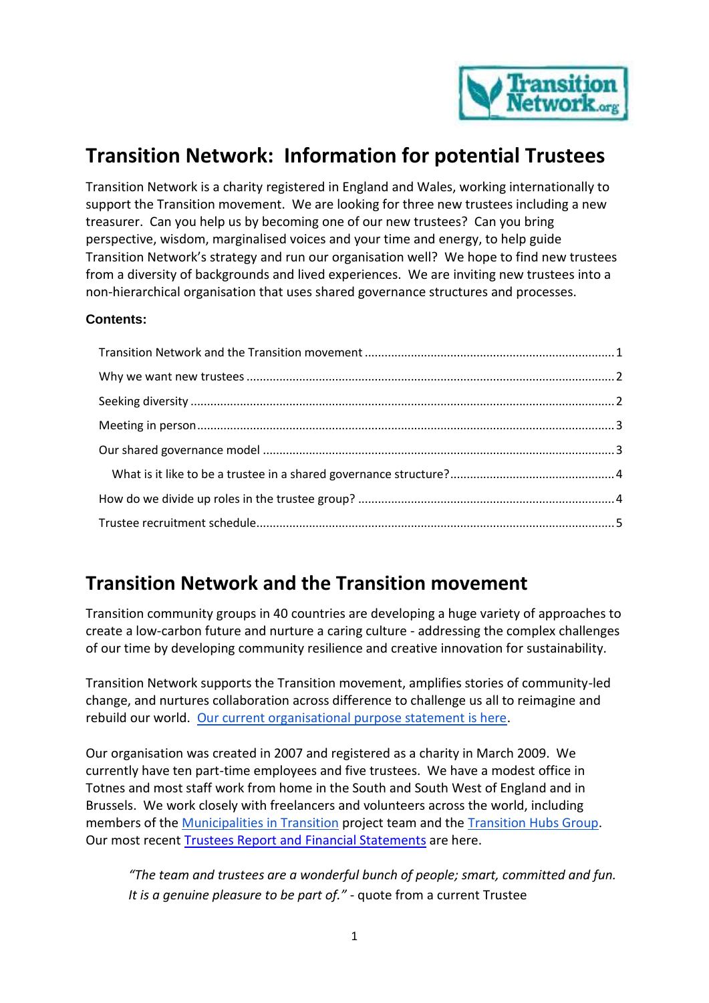

# **Transition Network: Information for potential Trustees**

Transition Network is a charity registered in England and Wales, working internationally to support the Transition movement. We are looking for three new trustees including a new treasurer. Can you help us by becoming one of our new trustees? Can you bring perspective, wisdom, marginalised voices and your time and energy, to help guide Transition Network's strategy and run our organisation well? We hope to find new trustees from a diversity of backgrounds and lived experiences. We are inviting new trustees into a non-hierarchical organisation that uses shared governance structures and processes.

#### **Contents:**

#### <span id="page-0-0"></span>**Transition Network and the Transition movement**

Transition community groups in 40 countries are developing a huge variety of approaches to create a low-carbon future and nurture a caring culture - addressing the complex challenges of our time by developing community resilience and creative innovation for sustainability.

Transition Network supports the Transition movement, amplifies stories of community-led change, and nurtures collaboration across difference to challenge us all to reimagine and rebuild our world. [Our current organisational purpose statement is here.](https://transitionnetwork.org/about-the-movement/the-charity/purpose/)

Our organisation was created in 2007 and registered as a charity in March 2009. We currently have ten part-time employees and five trustees. We have a modest office in Totnes and most staff work from home in the South and South West of England and in Brussels. We work closely with freelancers and volunteers across the world, including members of th[e Municipalities in Transition](http://municipalitiesintransition.org/) project team and the [Transition Hubs Group.](https://transitionnetwork.org/about-the-movement/international-hubs-circle/) Our most recen[t Trustees Report and Financial Statements](https://transitionnetwork.org/wp-content/uploads/2019/09/Transition-Network-Trustees-Report-and-Financial-Statements-March-2018.pdf) are here.

*"The team and trustees are a wonderful bunch of people; smart, committed and fun. It is a genuine pleasure to be part of."* - quote from a current Trustee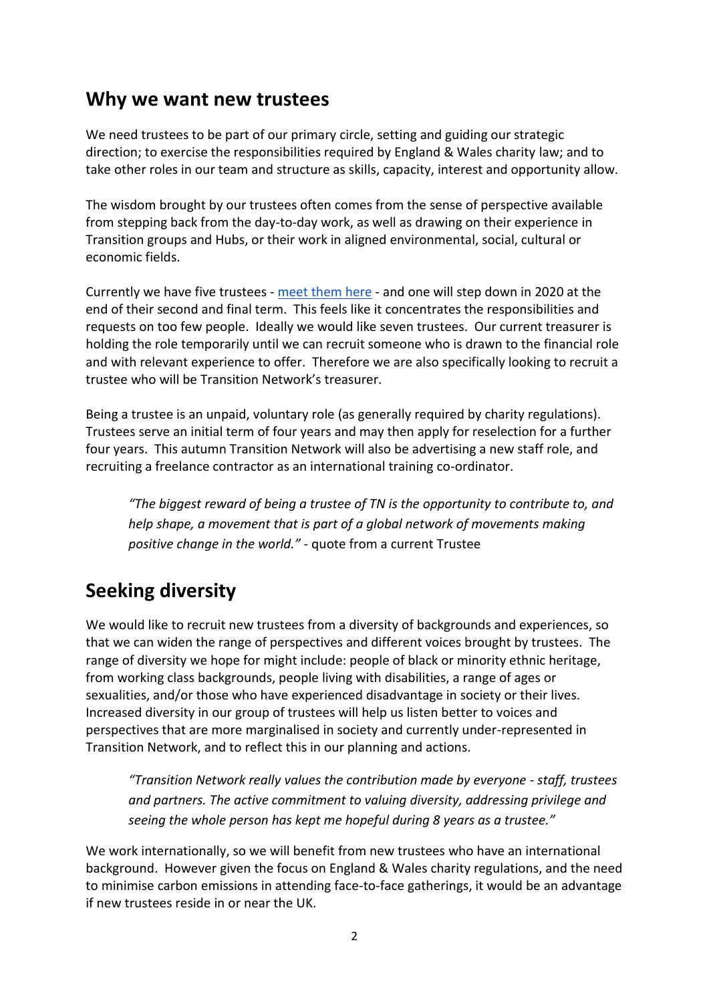#### <span id="page-1-0"></span>**Why we want new trustees**

We need trustees to be part of our primary circle, setting and guiding our strategic direction; to exercise the responsibilities required by England & Wales charity law; and to take other roles in our team and structure as skills, capacity, interest and opportunity allow.

The wisdom brought by our trustees often comes from the sense of perspective available from stepping back from the day-to-day work, as well as drawing on their experience in Transition groups and Hubs, or their work in aligned environmental, social, cultural or economic fields.

Currently we have five trustees - [meet them here](https://transitionnetwork.org/about-the-movement/the-charity/people/) - and one will step down in 2020 at the end of their second and final term. This feels like it concentrates the responsibilities and requests on too few people. Ideally we would like seven trustees. Our current treasurer is holding the role temporarily until we can recruit someone who is drawn to the financial role and with relevant experience to offer. Therefore we are also specifically looking to recruit a trustee who will be Transition Network's treasurer.

Being a trustee is an unpaid, voluntary role (as generally required by charity regulations). Trustees serve an initial term of four years and may then apply for reselection for a further four years. This autumn Transition Network will also be advertising a new staff role, and recruiting a freelance contractor as an international training co-ordinator.

*"The biggest reward of being a trustee of TN is the opportunity to contribute to, and help shape, a movement that is part of a global network of movements making positive change in the world."* - quote from a current Trustee

## <span id="page-1-1"></span>**Seeking diversity**

We would like to recruit new trustees from a diversity of backgrounds and experiences, so that we can widen the range of perspectives and different voices brought by trustees. The range of diversity we hope for might include: people of black or minority ethnic heritage, from working class backgrounds, people living with disabilities, a range of ages or sexualities, and/or those who have experienced disadvantage in society or their lives. Increased diversity in our group of trustees will help us listen better to voices and perspectives that are more marginalised in society and currently under-represented in Transition Network, and to reflect this in our planning and actions.

*"Transition Network really values the contribution made by everyone - staff, trustees and partners. The active commitment to valuing diversity, addressing privilege and seeing the whole person has kept me hopeful during 8 years as a trustee."* 

We work internationally, so we will benefit from new trustees who have an international background. However given the focus on England & Wales charity regulations, and the need to minimise carbon emissions in attending face-to-face gatherings, it would be an advantage if new trustees reside in or near the UK.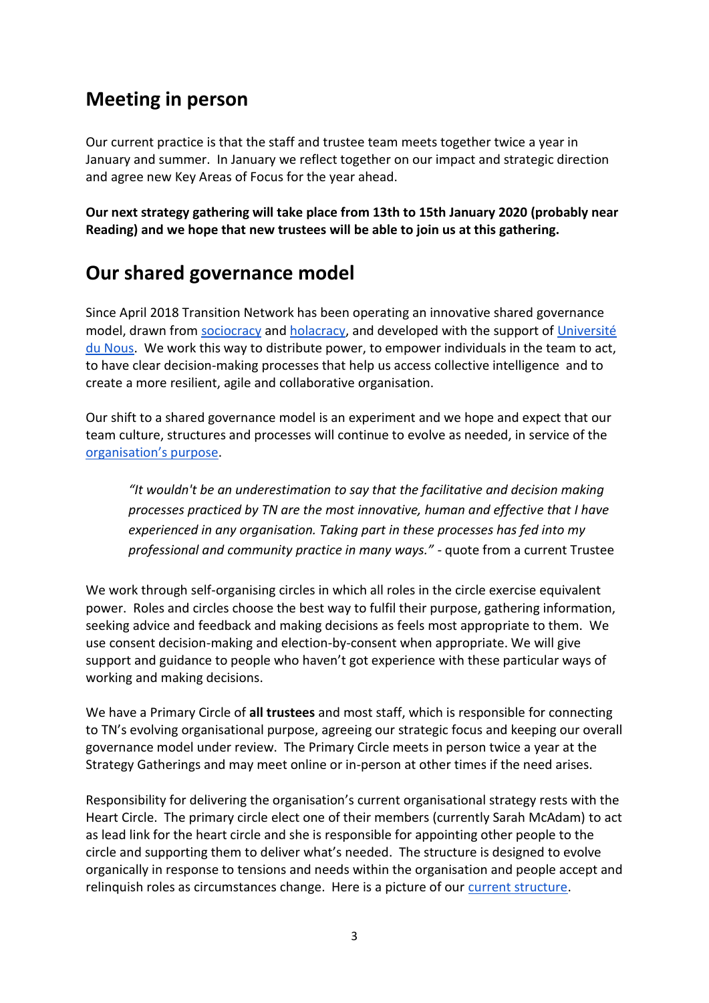## <span id="page-2-0"></span>**Meeting in person**

Our current practice is that the staff and trustee team meets together twice a year in January and summer. In January we reflect together on our impact and strategic direction and agree new Key Areas of Focus for the year ahead.

**Our next strategy gathering will take place from 13th to 15th January 2020 (probably near Reading) and we hope that new trustees will be able to join us at this gathering.**

## <span id="page-2-1"></span>**Our shared governance model**

Since April 2018 Transition Network has been operating an innovative shared governance model, drawn from [sociocracy](https://sociocracy30.org/) and [holacracy,](https://www.holacracy.org/what-is-holacracy) and developed with the support of Université [du Nous.](http://universite-du-nous.org/) We work this way to distribute power, to empower individuals in the team to act, to have clear decision-making processes that help us access collective intelligence and to create a more resilient, agile and collaborative organisation.

Our shift to a shared governance model is an experiment and we hope and expect that our team culture, structures and processes will continue to evolve as needed, in service of the [organisation's purpose](https://transitionnetwork.org/about-the-movement/the-charity/purpose/).

*"It wouldn't be an underestimation to say that the facilitative and decision making processes practiced by TN are the most innovative, human and effective that I have experienced in any organisation. Taking part in these processes has fed into my professional and community practice in many ways." -* quote from a current Trustee

We work through self-organising circles in which all roles in the circle exercise equivalent power. Roles and circles choose the best way to fulfil their purpose, gathering information, seeking advice and feedback and making decisions as feels most appropriate to them. We use consent decision-making and election-by-consent when appropriate. We will give support and guidance to people who haven't got experience with these particular ways of working and making decisions.

We have a Primary Circle of **all trustees** and most staff, which is responsible for connecting to TN's evolving organisational purpose, agreeing our strategic focus and keeping our overall governance model under review. The Primary Circle meets in person twice a year at the Strategy Gatherings and may meet online or in-person at other times if the need arises.

Responsibility for delivering the organisation's current organisational strategy rests with the Heart Circle. The primary circle elect one of their members (currently Sarah McAdam) to act as lead link for the heart circle and she is responsible for appointing other people to the circle and supporting them to deliver what's needed. The structure is designed to evolve organically in response to tensions and needs within the organisation and people accept and relinquish roles as circumstances change. Here is a picture of our [current structure.](https://transitionnetwork.org/wp-content/uploads/2019/08/Shared-Governance-Structure-Jul-2019.pdf)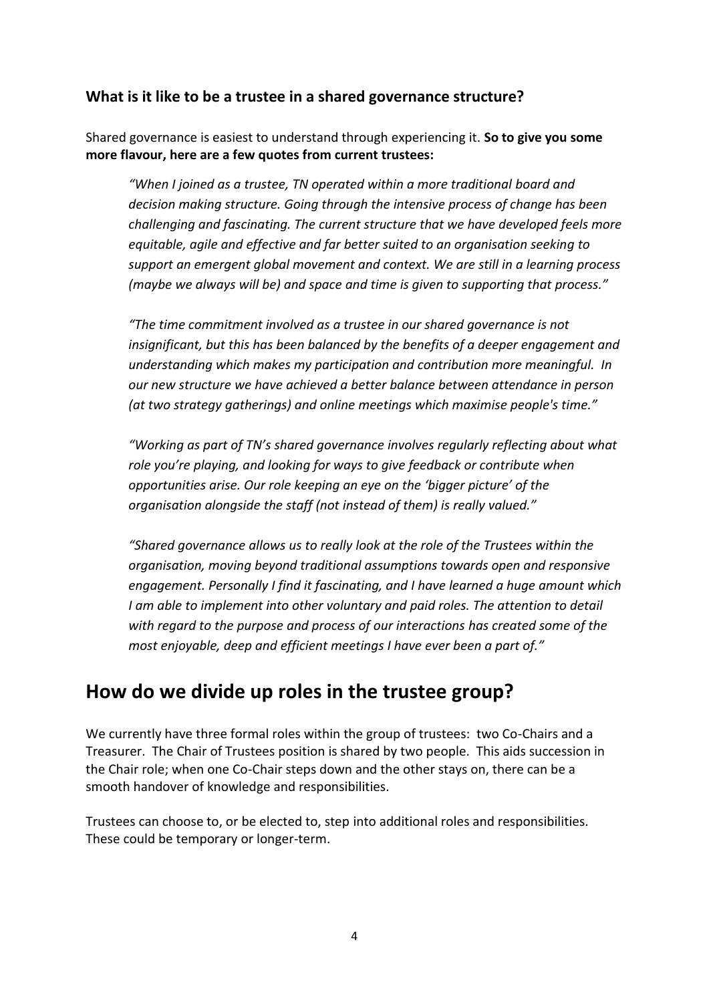#### <span id="page-3-0"></span>**What is it like to be a trustee in a shared governance structure?**

Shared governance is easiest to understand through experiencing it. **So to give you some more flavour, here are a few quotes from current trustees:** 

*"When I joined as a trustee, TN operated within a more traditional board and decision making structure. Going through the intensive process of change has been challenging and fascinating. The current structure that we have developed feels more equitable, agile and effective and far better suited to an organisation seeking to support an emergent global movement and context. We are still in a learning process (maybe we always will be) and space and time is given to supporting that process."*

*"The time commitment involved as a trustee in our shared governance is not insignificant, but this has been balanced by the benefits of a deeper engagement and understanding which makes my participation and contribution more meaningful. In our new structure we have achieved a better balance between attendance in person (at two strategy gatherings) and online meetings which maximise people's time."*

*"Working as part of TN's shared governance involves regularly reflecting about what role you're playing, and looking for ways to give feedback or contribute when opportunities arise. Our role keeping an eye on the 'bigger picture' of the organisation alongside the staff (not instead of them) is really valued."*

*"Shared governance allows us to really look at the role of the Trustees within the organisation, moving beyond traditional assumptions towards open and responsive engagement. Personally I find it fascinating, and I have learned a huge amount which I am able to implement into other voluntary and paid roles. The attention to detail with regard to the purpose and process of our interactions has created some of the most enjoyable, deep and efficient meetings I have ever been a part of."*

#### <span id="page-3-1"></span>**How do we divide up roles in the trustee group?**

We currently have three formal roles within the group of trustees: two Co-Chairs and a Treasurer. The Chair of Trustees position is shared by two people. This aids succession in the Chair role; when one Co-Chair steps down and the other stays on, there can be a smooth handover of knowledge and responsibilities.

Trustees can choose to, or be elected to, step into additional roles and responsibilities. These could be temporary or longer-term.